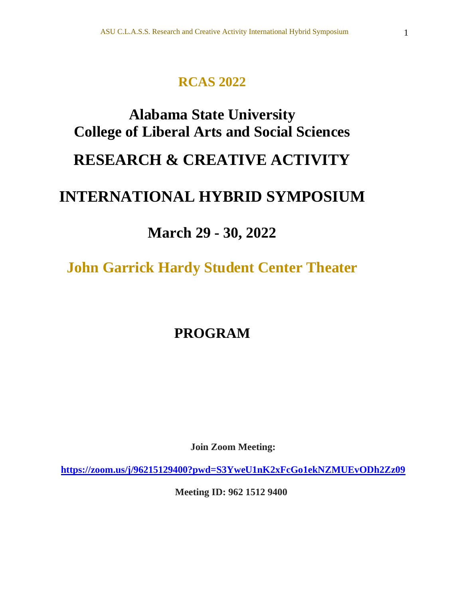### **RCAS 2022**

# **Alabama State University College of Liberal Arts and Social Sciences RESEARCH & CREATIVE ACTIVITY INTERNATIONAL HYBRID SYMPOSIUM**

## **March 29 - 30, 2022**

**John Garrick Hardy Student Center Theater**

## **PROGRAM**

**Join Zoom Meeting:** 

**<https://zoom.us/j/96215129400?pwd=S3YweU1nK2xFcGo1ekNZMUEvODh2Zz09>**

**Meeting ID: 962 1512 9400**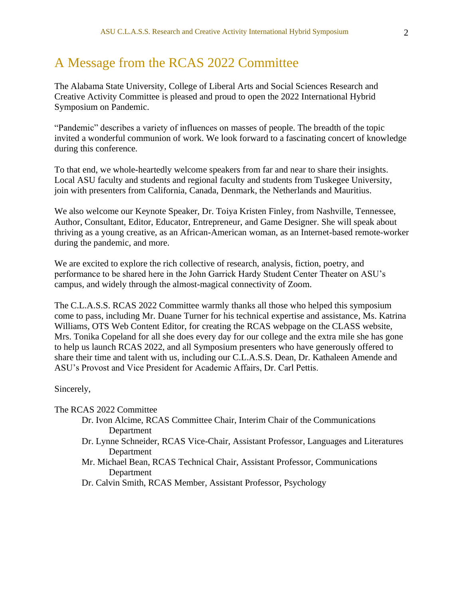### A Message from the RCAS 2022 Committee

The Alabama State University, College of Liberal Arts and Social Sciences Research and Creative Activity Committee is pleased and proud to open the 2022 International Hybrid Symposium on Pandemic.

"Pandemic" describes a variety of influences on masses of people. The breadth of the topic invited a wonderful communion of work. We look forward to a fascinating concert of knowledge during this conference.

To that end, we whole-heartedly welcome speakers from far and near to share their insights. Local ASU faculty and students and regional faculty and students from Tuskegee University, join with presenters from California, Canada, Denmark, the Netherlands and Mauritius.

We also welcome our Keynote Speaker, Dr. Toiya Kristen Finley, from Nashville, Tennessee, Author, Consultant, Editor, Educator, Entrepreneur, and Game Designer. She will speak about thriving as a young creative, as an African-American woman, as an Internet-based remote-worker during the pandemic, and more.

We are excited to explore the rich collective of research, analysis, fiction, poetry, and performance to be shared here in the John Garrick Hardy Student Center Theater on ASU's campus, and widely through the almost-magical connectivity of Zoom.

The C.L.A.S.S. RCAS 2022 Committee warmly thanks all those who helped this symposium come to pass, including Mr. Duane Turner for his technical expertise and assistance, Ms. Katrina Williams, OTS Web Content Editor, for creating the RCAS webpage on the CLASS website, Mrs. Tonika Copeland for all she does every day for our college and the extra mile she has gone to help us launch RCAS 2022, and all Symposium presenters who have generously offered to share their time and talent with us, including our C.L.A.S.S. Dean, Dr. Kathaleen Amende and ASU's Provost and Vice President for Academic Affairs, Dr. Carl Pettis.

#### Sincerely,

The RCAS 2022 Committee

- Dr. Ivon Alcime, RCAS Committee Chair, Interim Chair of the Communications Department
- Dr. Lynne Schneider, RCAS Vice-Chair, Assistant Professor, Languages and Literatures Department
- Mr. Michael Bean, RCAS Technical Chair, Assistant Professor, Communications Department
- Dr. Calvin Smith, RCAS Member, Assistant Professor, Psychology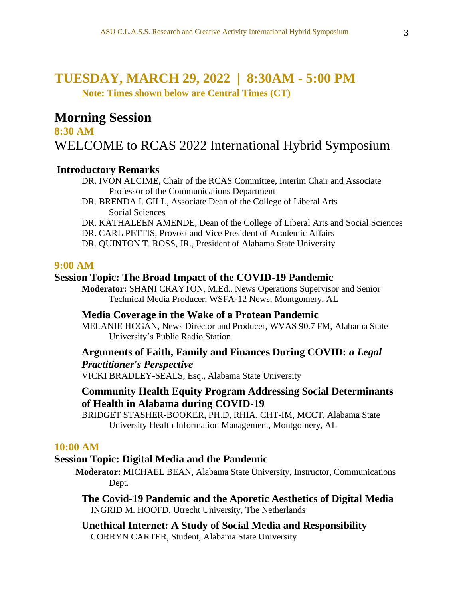### **TUESDAY, MARCH 29, 2022 | 8:30AM - 5:00 PM**

**Note: Times shown below are Central Times (CT)**

### **Morning Session**

**8:30 AM**  WELCOME to RCAS 2022 International Hybrid Symposium

### **Introductory Remarks**

- DR. IVON ALCIME, Chair of the RCAS Committee, Interim Chair and Associate Professor of the Communications Department
- DR. BRENDA I. GILL, Associate Dean of the College of Liberal Arts Social Sciences
- DR. KATHALEEN AMENDE, Dean of the College of Liberal Arts and Social Sciences
- DR. CARL PETTIS, Provost and Vice President of Academic Affairs
- DR. QUINTON T. ROSS, JR., President of Alabama State University

### **9:00 AM**

### **Session Topic: The Broad Impact of the COVID-19 Pandemic**

**Moderator:** SHANI CRAYTON, M.Ed., News Operations Supervisor and Senior Technical Media Producer, WSFA-12 News, Montgomery, AL

### **Media Coverage in the Wake of a Protean Pandemic**

MELANIE HOGAN, News Director and Producer, WVAS 90.7 FM, Alabama State University's Public Radio Station

### **Arguments of Faith, Family and Finances During COVID:** *a Legal Practitioner's Perspective*

VICKI BRADLEY-SEALS, Esq., Alabama State University

### **Community Health Equity Program Addressing Social Determinants of Health in Alabama during COVID-19**

BRIDGET STASHER-BOOKER, PH.D, RHIA, CHT-IM, MCCT, Alabama State University Health Information Management, Montgomery, AL

### **10:00 AM**

### **Session Topic: Digital Media and the Pandemic**

- **Moderator:** MICHAEL BEAN, Alabama State University, Instructor, Communications Dept.
	- **The Covid-19 Pandemic and the Aporetic Aesthetics of Digital Media** INGRID M. HOOFD, Utrecht University, The Netherlands
	- **Unethical Internet: A Study of Social Media and Responsibility** CORRYN CARTER, Student, Alabama State University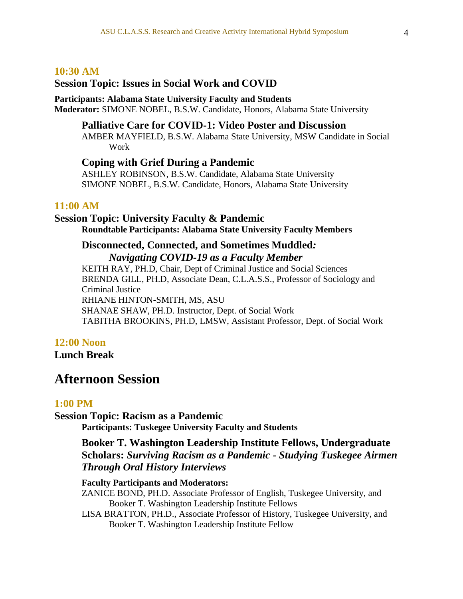### **10:30 AM**

### **Session Topic: Issues in Social Work and COVID**

#### **Participants: Alabama State University Faculty and Students Moderator:** SIMONE NOBEL, B.S.W. Candidate, Honors, Alabama State University

### **Palliative Care for COVID-1: Video Poster and Discussion**

AMBER MAYFIELD, B.S.W. Alabama State University, MSW Candidate in Social Work

### **Coping with Grief During a Pandemic**

ASHLEY ROBINSON, B.S.W. Candidate, Alabama State University SIMONE NOBEL, B.S.W. Candidate, Honors, Alabama State University

#### **11:00 AM**

### **Session Topic: University Faculty & Pandemic**

**Roundtable Participants: Alabama State University Faculty Members**

### **Disconnected, Connected, and Sometimes Muddled***: Navigating COVID-19 as a Faculty Member*

KEITH RAY, PH.D, Chair, Dept of Criminal Justice and Social Sciences BRENDA GILL, PH.D, Associate Dean, C.L.A.S.S., Professor of Sociology and Criminal Justice RHIANE HINTON-SMITH, MS, ASU SHANAE SHAW, PH.D. Instructor, Dept. of Social Work TABITHA BROOKINS, PH.D, LMSW, Assistant Professor, Dept. of Social Work

### **12:00 Noon**

**Lunch Break**

### **Afternoon Session**

### **1:00 PM**

#### **Session Topic: Racism as a Pandemic**

**Participants: Tuskegee University Faculty and Students**

**Booker T. Washington Leadership Institute Fellows, Undergraduate Scholars:** *Surviving Racism as a Pandemic - Studying Tuskegee Airmen Through Oral History Interviews*

#### **Faculty Participants and Moderators:**

ZANICE BOND, PH.D. Associate Professor of English, Tuskegee University, and Booker T. Washington Leadership Institute Fellows

 LISA BRATTON, PH.D., Associate Professor of History, Tuskegee University, and Booker T. Washington Leadership Institute Fellow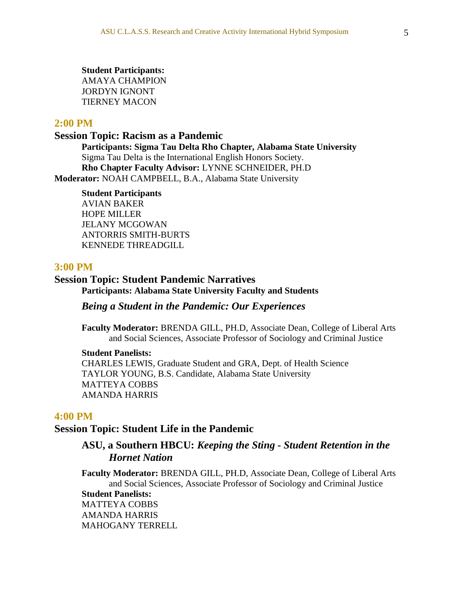**Student Participants:** AMAYA CHAMPION JORDYN IGNONT TIERNEY MACON

### **2:00 PM**

**Session Topic: Racism as a Pandemic**

**Participants: Sigma Tau Delta Rho Chapter, Alabama State University** Sigma Tau Delta is the International English Honors Society. **Rho Chapter Faculty Advisor:** LYNNE SCHNEIDER, PH.D **Moderator:** NOAH CAMPBELL, B.A., Alabama State University

**Student Participants** AVIAN BAKER HOPE MILLER JELANY MCGOWAN ANTORRIS SMITH-BURTS KENNEDE THREADGILL

### **3:00 PM**

### **Session Topic: Student Pandemic Narratives Participants: Alabama State University Faculty and Students**

### *Being a Student in the Pandemic: Our Experiences*

**Faculty Moderator:** BRENDA GILL, PH.D, Associate Dean, College of Liberal Arts and Social Sciences, Associate Professor of Sociology and Criminal Justice

#### **Student Panelists:**

CHARLES LEWIS, Graduate Student and GRA, Dept. of Health Science TAYLOR YOUNG, B.S. Candidate, Alabama State University MATTEYA COBBS AMANDA HARRIS

### **4:00 PM**

### **Session Topic: Student Life in the Pandemic**

### **ASU, a Southern HBCU:** *Keeping the Sting - Student Retention in the Hornet Nation*

**Faculty Moderator:** BRENDA GILL, PH.D, Associate Dean, College of Liberal Arts and Social Sciences, Associate Professor of Sociology and Criminal Justice **Student Panelists:** MATTEYA COBBS AMANDA HARRIS MAHOGANY TERRELL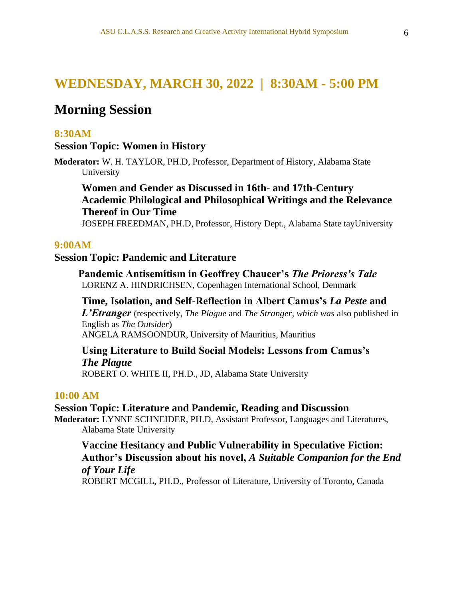### **WEDNESDAY, MARCH 30, 2022 | 8:30AM - 5:00 PM**

### **Morning Session**

### **8:30AM**

### **Session Topic: Women in History**

**Moderator:** W. H. TAYLOR, PH.D, Professor, Department of History, Alabama State University

### **Women and Gender as Discussed in 16th- and 17th-Century Academic Philological and Philosophical Writings and the Relevance Thereof in Our Time**

JOSEPH FREEDMAN, PH.D, Professor, History Dept., Alabama State tayUniversity

#### **9:00AM**

### **Session Topic: Pandemic and Literature**

 **Pandemic Antisemitism in Geoffrey Chaucer's** *The Prioress's Tale* LORENZ A. HINDRICHSEN, Copenhagen International School, Denmark

### **Time, Isolation, and Self-Reflection in Albert Camus's** *La Peste* **and**

*L'Etranger* (respectively, *The Plague* and *The Stranger, which was* also published in English as *The Outsider*) ANGELA RAMSOONDUR, University of Mauritius, Mauritius

### **Using Literature to Build Social Models: Lessons from Camus's** *The Plague*

ROBERT O. WHITE II, PH.D., JD, Alabama State University

### **10:00 AM**

#### **Session Topic: Literature and Pandemic, Reading and Discussion**

**Moderator:** LYNNE SCHNEIDER, PH.D, Assistant Professor, Languages and Literatures, Alabama State University

### **Vaccine Hesitancy and Public Vulnerability in Speculative Fiction: Author's Discussion about his novel,** *A Suitable Companion for the End of Your Life*

ROBERT MCGILL, PH.D., Professor of Literature, University of Toronto, Canada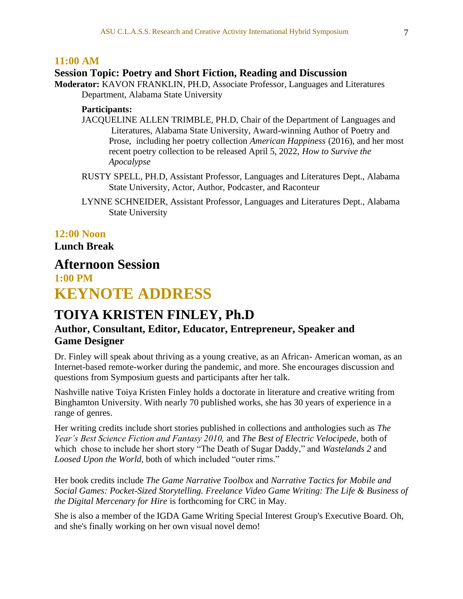### **11:00 AM**

### **Session Topic: Poetry and Short Fiction, Reading and Discussion**

**Moderator:** KAVON FRANKLIN, PH.D, Associate Professor, Languages and Literatures Department, Alabama State University

#### **Participants:**

- JACQUELINE ALLEN TRIMBLE, PH.D, Chair of the Department of Languages and Literatures, Alabama State University, Award-winning Author of Poetry and Prose, including her poetry collection *American Happiness* (2016), and her most recent poetry collection to be released April 5, 2022, *How to Survive the Apocalypse*
- RUSTY SPELL, PH.D, Assistant Professor, Languages and Literatures Dept., Alabama State University, Actor, Author, Podcaster, and Raconteur
- LYNNE SCHNEIDER, Assistant Professor, Languages and Literatures Dept., Alabama State University

### **12:00 Noon**

**Lunch Break**

### **Afternoon Session**

**1:00 PM KEYNOTE ADDRESS**

### **TOIYA KRISTEN FINLEY, Ph.D**

### **Author, Consultant, Editor, Educator, Entrepreneur, Speaker and Game Designer**

Dr. Finley will speak about thriving as a young creative, as an African- American woman, as an Internet-based remote-worker during the pandemic, and more. She encourages discussion and questions from Symposium guests and participants after her talk.

Nashville native Toiya Kristen Finley holds a doctorate in literature and creative writing from Binghamton University. With nearly 70 published works, she has 30 years of experience in a range of genres.

Her writing credits include short stories published in collections and anthologies such as *The Year's Best Science Fiction and Fantasy 2010,* and *The Best of Electric Velocipede,* both of which chose to include her short story "The Death of Sugar Daddy," and *Wastelands 2* and *Loosed Upon the World,* both of which included "outer rims."

Her book credits include *The Game Narrative Toolbox* and *Narrative Tactics for Mobile and Social Games: Pocket-Sized Storytelling. Freelance Video Game Writing: The Life & Business of the Digital Mercenary for Hire* is forthcoming for CRC in May.

She is also a member of the IGDA Game Writing Special Interest Group's Executive Board. Oh, and she's finally working on her own visual novel demo!